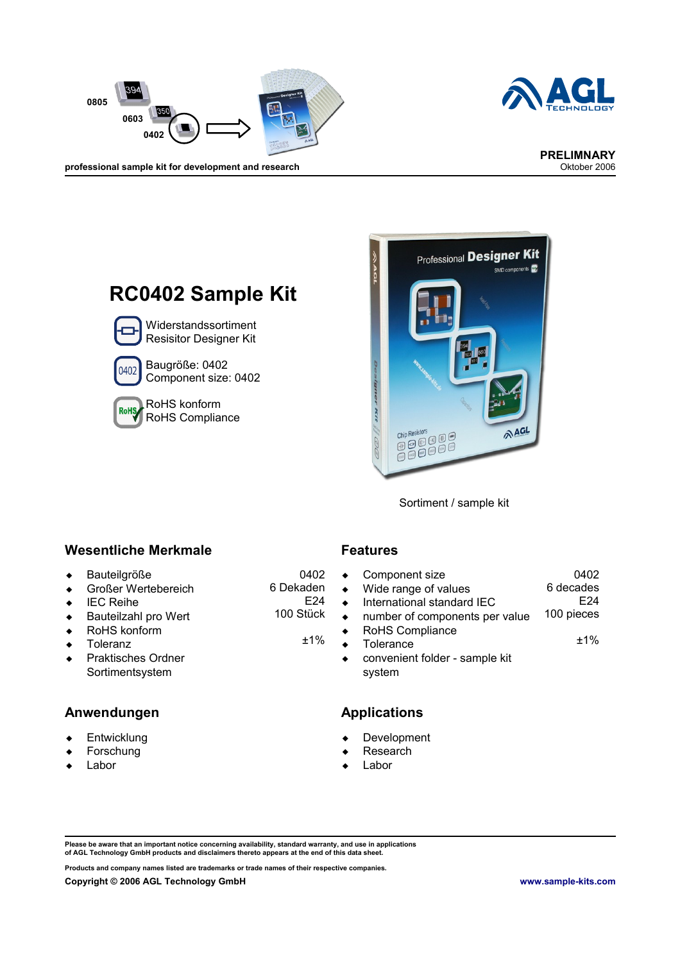



**PRELIMNARY**

professional sample kit for development and research





Sortiment / sample kit

### **Wesentliche Merkmale Features**

- Bauteilgröße
- ◆ Großer Wertebereich
- ◆ IEC Reihe
- ◆ Bauteilzahl pro Wert
- RoHS konform
- ◆ Toleranz
- ◆ Praktisches Ordner Sortimentsystem

#### **Anwendungen Applications**

- **+** Entwicklung
- Forschung
- Labor

0402 6 Dekaden E24 100 Stück

±1%

| Component size                 | 0402            |
|--------------------------------|-----------------|
| Wide range of values           | 6 decades       |
| International standard IEC     | F <sub>24</sub> |
| number of components per value | 100 pieces      |
| RoHS Compliance                |                 |
| Tolerance                      | $+1\%$          |
| convenient folder - sample kit |                 |
| svstem                         |                 |

- Development
- Research
- Labor

Please be aware that an important notice concerning availability, standard warranty, and use in applications<br>of AGL Technology GmbH products and disclaimers thereto appears at the end of this data sheet.

**Products and company names listed are trademarks or trade names of their respective companies.**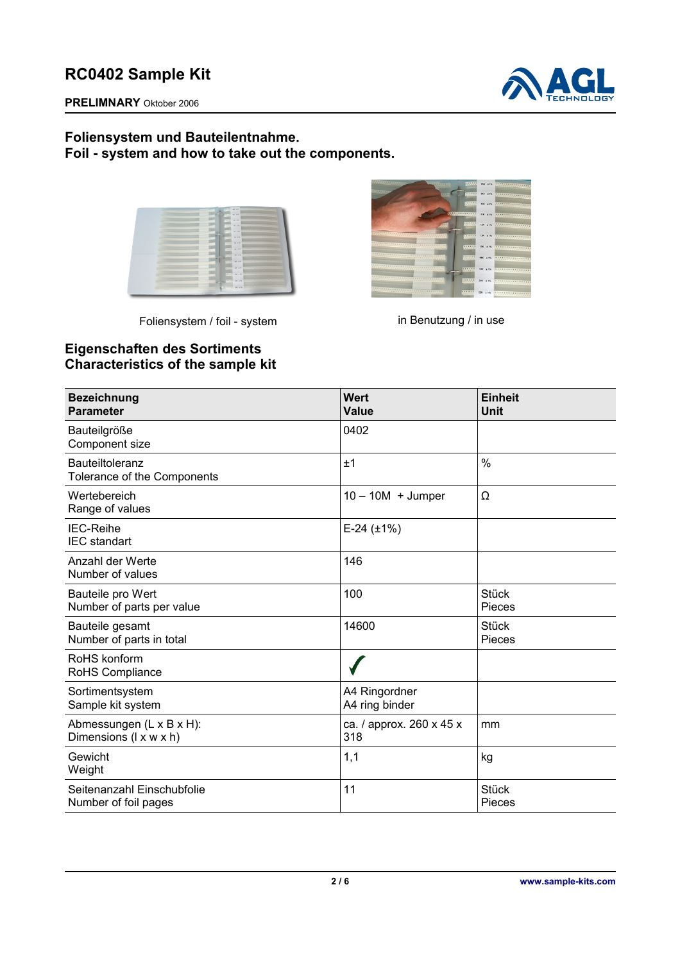



### **Foliensystem und Bauteilentnahme. Foil - system and how to take out the components.**

| $\sim$<br>                                                                          | COLLEGE AVE AVE                                               |
|-------------------------------------------------------------------------------------|---------------------------------------------------------------|
| <b>TESTINARY</b>                                                                    | We see their                                                  |
|                                                                                     | <b>COLORADO AND AND IN</b>                                    |
| <b>TALLA</b>                                                                        | ,,,,,,,,,,,,,,,,,,,,,,,,,,,,,,,,,<br>199888<br><b>SHELFE</b>  |
|                                                                                     | <b>COLORED IN STR.</b>                                        |
|                                                                                     | void, a life.<br><b>SALAR</b>                                 |
|                                                                                     | <br>111111 W. A.W.                                            |
| <u> 1111 - 122 - 122 - 122 - 122 - 122 - 122 - 122 - 122 - 122 - 122 - 122 - 12</u> | ,,,,,,,,,,,,,,,,,,,,,,,,,,,,,,,,,,,,,<br><b>COLLEGE STATE</b> |
|                                                                                     | -------------------------------------<br><b>CONTRACTOR</b>    |
|                                                                                     |                                                               |
|                                                                                     | <b>ATENET SERVICE</b>                                         |
|                                                                                     | ------------------------------------<br><b>CONTRACTOR</b>     |
|                                                                                     | <b>CERRET DN 175</b>                                          |
|                                                                                     |                                                               |

Foliensystem / foil - system in Benutzung / in use



## **Eigenschaften des Sortiments Characteristics of the sample kit**

| <b>Bezeichnung</b><br><b>Parameter</b>             | Wert<br><b>Value</b>            | <b>Einheit</b><br><b>Unit</b> |
|----------------------------------------------------|---------------------------------|-------------------------------|
| Bauteilgröße<br>Component size                     | 0402                            |                               |
| Bauteiltoleranz<br>Tolerance of the Components     | ±1                              | $\frac{0}{0}$                 |
| Wertebereich<br>Range of values                    | $10 - 10M + J$ umper            | Ω                             |
| <b>IEC-Reihe</b><br><b>IEC</b> standart            | $E-24$ ( $\pm$ 1%)              |                               |
| Anzahl der Werte<br>Number of values               | 146                             |                               |
| Bauteile pro Wert<br>Number of parts per value     | 100                             | <b>Stück</b><br>Pieces        |
| Bauteile gesamt<br>Number of parts in total        | 14600                           | <b>Stück</b><br>Pieces        |
| RoHS konform<br>RoHS Compliance                    |                                 |                               |
| Sortimentsystem<br>Sample kit system               | A4 Ringordner<br>A4 ring binder |                               |
| Abmessungen (L x B x H):<br>Dimensions (I x w x h) | ca. / approx. 260 x 45 x<br>318 | mm                            |
| Gewicht<br>Weight                                  | 1,1                             | kg                            |
| Seitenanzahl Einschubfolie<br>Number of foil pages | 11                              | <b>Stück</b><br>Pieces        |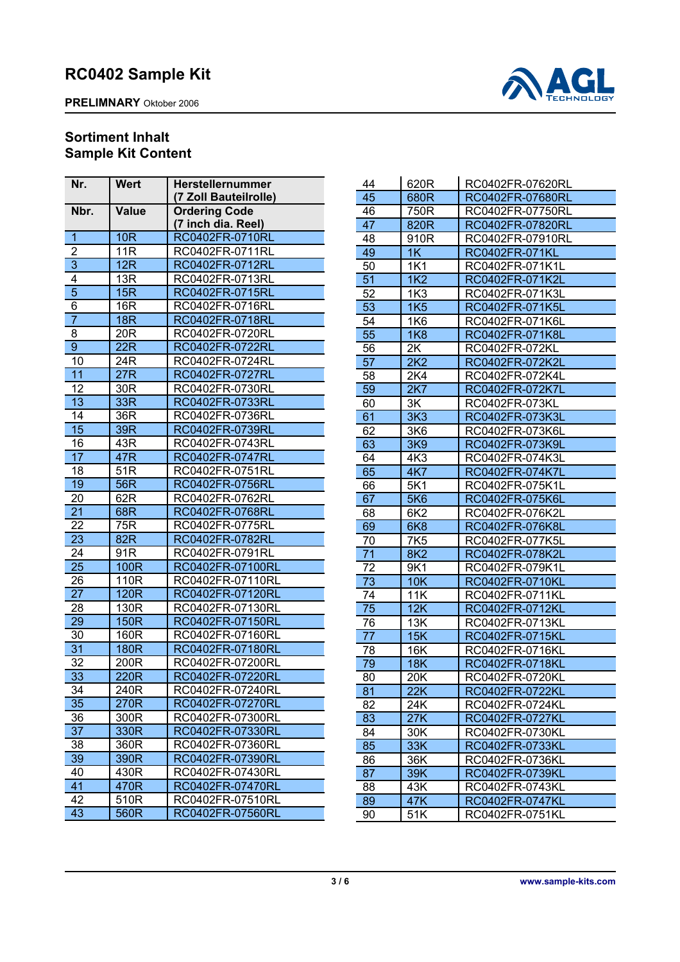**PRELIMNARY** Oktober 2006



## **Sortiment Inhalt Sample Kit Content**

| Nr.                       | <b>Wert</b>     | <b>Herstellernummer</b> |
|---------------------------|-----------------|-------------------------|
|                           |                 | (7 Zoll Bauteilrolle)   |
| Nbr.                      | Value           | <b>Ordering Code</b>    |
|                           |                 | (7 inch dia. Reel)      |
| $\overline{1}$            | 10 <sub>R</sub> | RC0402FR-0710RL         |
| $\overline{c}$            | 11R             | RC0402FR-0711RL         |
| $\overline{\overline{3}}$ | 12R             | RC0402FR-0712RL         |
| 4                         | 13R             | RC0402FR-0713RL         |
| $\overline{5}$            | 15R             | RC0402FR-0715RL         |
| 6                         | 16R             | RC0402FR-0716RL         |
| $\overline{7}$            | <b>18R</b>      | RC0402FR-0718RL         |
| 8                         | 20R             | RC0402FR-0720RL         |
| 9                         | 22R             | RC0402FR-0722RL         |
| 10                        | 24R             | RC0402FR-0724RL         |
| 11                        | 27R             | RC0402FR-0727RL         |
| 12                        | 30R             | RC0402FR-0730RL         |
| 13                        | 33R             | RC0402FR-0733RL         |
| 14                        | 36R             | RC0402FR-0736RL         |
| 15                        | 39R             | RC0402FR-0739RL         |
| 16                        | 43R             | RC0402FR-0743RL         |
| 17                        | 47R             | RC0402FR-0747RL         |
| 18                        | 51R             | RC0402FR-0751RL         |
| 19                        | 56R             | RC0402FR-0756RL         |
| 20                        | 62R             | RC0402FR-0762RL         |
| 21                        | 68R             | RC0402FR-0768RL         |
| 22                        | 75R             | RC0402FR-0775RL         |
| 23                        | 82R             | RC0402FR-0782RL         |
| 24                        | 91R             | RC0402FR-0791RL         |
| 25                        | 100R            | RC0402FR-07100RL        |
| 26                        | 110R            | RC0402FR-07110RL        |
| 27                        | 120R            | RC0402FR-07120RL        |
| 28                        | 130R            | RC0402FR-07130RL        |
| 29                        | 150R            | RC0402FR-07150RL        |
| 30                        | 160R            | RC0402FR-07160RL        |
| 31                        | 180R            | RC0402FR-07180RL        |
| 32                        | 200R            | RC0402FR-07200RL        |
| 33                        | 220R            | RC0402FR-07220RL        |
| 34                        | 240R            | RC0402FR-07240RL        |
| 35                        | 270R            | RC0402FR-07270RL        |
| 36                        | 300R            | RC0402FR-07300RL        |
| 37                        | 330R            | RC0402FR-07330RL        |
| 38                        | 360R            | RC0402FR-07360RL        |
| 39                        | 390R            | RC0402FR-07390RL        |
| 40                        | 430R            | RC0402FR-07430RL        |
| 41                        | 470R            | RC0402FR-07470RL        |
| 42                        | 510R            | RC0402FR-07510RL        |
| 43                        | 560R            | RC0402FR-07560RL        |
|                           |                 |                         |

| 44              | 620R             | RC0402FR-07620RL      |
|-----------------|------------------|-----------------------|
| 45              | 680R             | RC0402FR-07680RL      |
| 46              | 750R             | RC0402FR-07750RL      |
| 47              | 820R             | RC0402FR-07820RL      |
| 48              | 910R             | RC0402FR-07910RL      |
| 49              | 1K               | <b>RC0402FR-071KL</b> |
| 50              | 1K <sub>1</sub>  | RC0402FR-071K1L       |
| 51              | 1K <sub>2</sub>  | RC0402FR-071K2L       |
| 52              | 1K3              | RC0402FR-071K3L       |
| 53              | <b>1K5</b>       | RC0402FR-071K5L       |
| 54              | 1K6              | RC0402FR-071K6L       |
| 55              | <b>1K8</b>       | RC0402FR-071K8L       |
| 56              | 2K               | RC0402FR-072KL        |
| 57              | 2K2              | RC0402FR-072K2L       |
| 58              | 2K4              | RC0402FR-072K4L       |
| 59              | 2K7              | RC0402FR-072K7L       |
| 60              | 3K               | RC0402FR-073KL        |
| 61              | 3K <sub>3</sub>  | RC0402FR-073K3L       |
| 62              | 3K6              | RC0402FR-073K6L       |
| 63              | <b>3K9</b>       | RC0402FR-073K9L       |
| 64              | 4K3              | RC0402FR-074K3L       |
| 65              | 4K7              | RC0402FR-074K7L       |
| 66              | 5K1              | RC0402FR-075K1L       |
| 67              | 5K6              | RC0402FR-075K6L       |
| 68              | 6K <sub>2</sub>  | RC0402FR-076K2L       |
| 69              | 6K8              | RC0402FR-076K8L       |
| 70              | 7K <sub>5</sub>  | RC0402FR-077K5L       |
| 71              | <b>8K2</b>       | RC0402FR-078K2L       |
| 72              | 9K1              | RC0402FR-079K1L       |
| $7\overline{3}$ | <b>10K</b>       | RC0402FR-0710KL       |
| 74              | 11K              | RC0402FR-0711KL       |
| 75              | 12K              | RC0402FR-0712KL       |
| 76              | 13K              | RC0402FR-0713KL       |
| 77              | 15K              | RC0402FR-0715KL       |
| 78              | <b>16K</b>       | RC0402FR-0716KL       |
| 79              | 18K              | RC0402FR-0718KL       |
| 80              | 20K              | RC0402FR-0720KL       |
| 81              | $\overline{22K}$ | RC0402FR-0722KL       |
| 82              | 24K              | RC0402FR-0724KL       |
| 83              | 27K              | RC0402FR-0727KL       |
| 84              | 30K              | RC0402FR-0730KL       |
| 85              | 33K              | RC0402FR-0733KL       |
| 86              | 36K              | RC0402FR-0736KL       |
| 87              | 39K              | RC0402FR-0739KL       |
| 88              | 43K              | RC0402FR-0743KL       |
| 89              | 47K              | RC0402FR-0747KL       |
| 90              | 51K              | RC0402FR-0751KL       |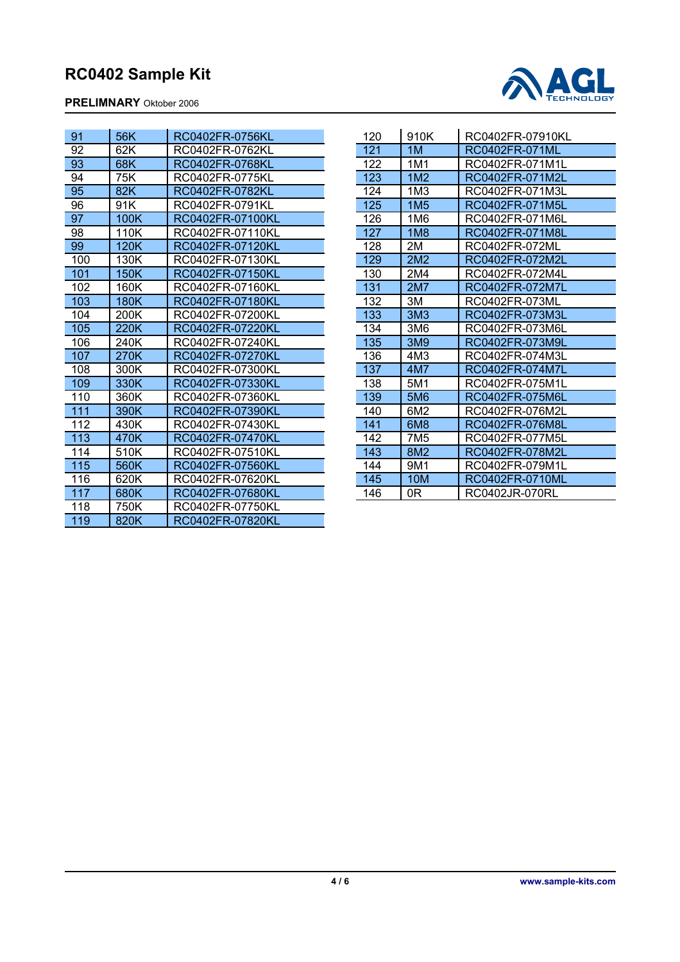**PRELIMNARY** Oktober 2006



| 91  | 56K         | RC0402FR-0756KL  |
|-----|-------------|------------------|
| 92  | 62K         | RC0402FR-0762KL  |
| 93  | 68K         | RC0402FR-0768KL  |
| 94  | 75K         | RC0402FR-0775KL  |
| 95  | 82K         | RC0402FR-0782KL  |
| 96  | 91K         | RC0402FR-0791KL  |
| 97  | 100K        | RC0402FR-07100KL |
| 98  | 110K        | RC0402FR-07110KL |
| 99  | 120K        | RC0402FR-07120KL |
| 100 | 130K        | RC0402FR-07130KL |
| 101 | <b>150K</b> | RC0402FR-07150KL |
| 102 | 160K        | RC0402FR-07160KL |
| 103 | <b>180K</b> | RC0402FR-07180KL |
| 104 | 200K        | RC0402FR-07200KL |
| 105 | 220K        | RC0402FR-07220KL |
| 106 | 240K        | RC0402FR-07240KL |
| 107 | 270K        | RC0402FR-07270KL |
| 108 | 300K        | RC0402FR-07300KL |
| 109 | 330K        | RC0402FR-07330KL |
| 110 | 360K        | RC0402FR-07360KL |
| 111 | 390K        | RC0402FR-07390KL |
| 112 | 430K        | RC0402FR-07430KL |
| 113 | 470K        | RC0402FR-07470KL |
| 114 | 510K        | RC0402FR-07510KL |
| 115 | 560K        | RC0402FR-07560KL |
| 116 | 620K        | RC0402FR-07620KL |
| 117 | 680K        | RC0402FR-07680KL |
| 118 | 750K        | RC0402FR-07750KL |
| 119 | 820K        | RC0402FR-07820KL |

| 120 | 910K            | RC0402FR-07910KL |
|-----|-----------------|------------------|
| 121 | 1M              | RC0402FR-071ML   |
| 122 | 1M1             | RC0402FR-071M1L  |
| 123 | 1M <sub>2</sub> | RC0402FR-071M2L  |
| 124 | 1M <sub>3</sub> | RC0402FR-071M3L  |
| 125 | 1M <sub>5</sub> | RC0402FR-071M5L  |
| 126 | 1M6             | RC0402FR-071M6L  |
| 127 | 1M8             | RC0402FR-071M8L  |
| 128 | 2M              | RC0402FR-072ML   |
| 129 | 2M <sub>2</sub> | RC0402FR-072M2L  |
| 130 | 2M4             | RC0402FR-072M4L  |
| 131 | <b>2M7</b>      | RC0402FR-072M7L  |
| 132 | ЗM              | RC0402FR-073ML   |
| 133 | 3M <sub>3</sub> | RC0402FR-073M3L  |
| 134 | 3M6             | RC0402FR-073M6L  |
| 135 | 3M9             | RC0402FR-073M9L  |
| 136 | 4M3             | RC0402FR-074M3L  |
| 137 | 4M7             | RC0402FR-074M7L  |
| 138 | 5M1             | RC0402FR-075M1L  |
| 139 | 5M <sub>6</sub> | RC0402FR-075M6L  |
| 140 | 6M2             | RC0402FR-076M2L  |
| 141 | 6M8             | RC0402FR-076M8L  |
| 142 | 7M <sub>5</sub> | RC0402FR-077M5L  |
| 143 | 8M2             | RC0402FR-078M2L  |
| 144 | 9M1             | RC0402FR-079M1L  |
| 145 | <b>10M</b>      | RC0402FR-0710ML  |
| 146 | 0R              | RC0402JR-070RL   |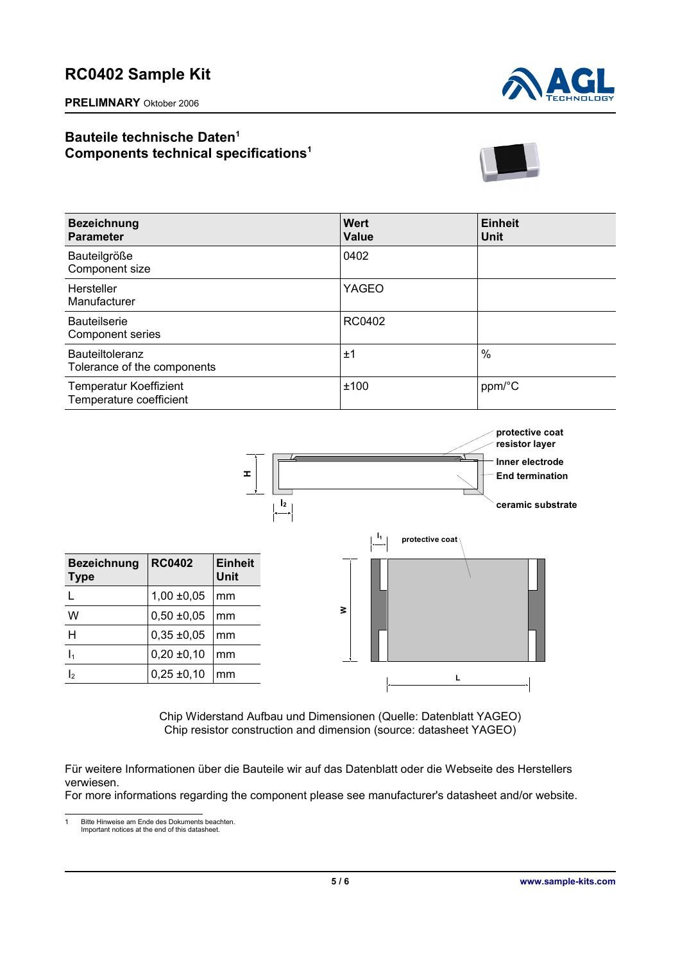**PRELIMNARY** Oktober 2006



## **Bauteile technische Daten[1](#page-4-0) Components technical specifications<sup>1</sup>**



| <b>Bezeichnung</b><br><b>Parameter</b>                   | Wert<br>Value | <b>Einheit</b><br>Unit |
|----------------------------------------------------------|---------------|------------------------|
| Bauteilgröße<br>Component size                           | 0402          |                        |
| Hersteller<br>Manufacturer                               | YAGEO         |                        |
| <b>Bauteilserie</b><br>Component series                  | RC0402        |                        |
| Bauteiltoleranz<br>Tolerance of the components           | ±1            | $\%$                   |
| <b>Temperatur Koeffizient</b><br>Temperature coefficient | ±100          | ppm/°C                 |



Chip Widerstand Aufbau und Dimensionen (Quelle: Datenblatt YAGEO) Chip resistor construction and dimension (source: datasheet YAGEO)

Für weitere Informationen über die Bauteile wir auf das Datenblatt oder die Webseite des Herstellers verwiesen.

For more informations regarding the component please see manufacturer's datasheet and/or website.

<span id="page-4-0"></span>1 Bitte Hinweise am Ende des Dokuments beachten. Important notices at the end of this datasheet.